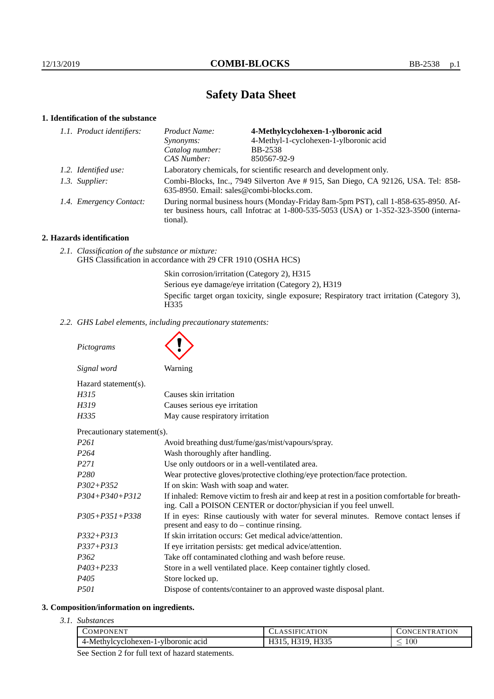# **Safety Data Sheet**

# **1. Identification of the substance**

| 1.1. Product identifiers: | Product Name:                                                                                                                                                                           | 4-Methylcyclohexen-1-ylboronic acid    |
|---------------------------|-----------------------------------------------------------------------------------------------------------------------------------------------------------------------------------------|----------------------------------------|
|                           | Synonyms:                                                                                                                                                                               | 4-Methyl-1-cyclohexen-1-ylboronic acid |
|                           | Catalog number:                                                                                                                                                                         | <b>BB-2538</b>                         |
|                           | CAS Number:                                                                                                                                                                             | 850567-92-9                            |
| 1.2. Identified use:      | Laboratory chemicals, for scientific research and development only.                                                                                                                     |                                        |
| 1.3. Supplier:            | Combi-Blocks, Inc., 7949 Silverton Ave # 915, San Diego, CA 92126, USA. Tel: 858-<br>635-8950. Email: sales@combi-blocks.com.                                                           |                                        |
| 1.4. Emergency Contact:   | During normal business hours (Monday-Friday 8am-5pm PST), call 1-858-635-8950. Af-<br>ter business hours, call Infotrac at 1-800-535-5053 (USA) or 1-352-323-3500 (interna-<br>tional). |                                        |

## **2. Hazards identification**

*2.1. Classification of the substance or mixture:* GHS Classification in accordance with 29 CFR 1910 (OSHA HCS)

> Skin corrosion/irritation (Category 2), H315 Serious eye damage/eye irritation (Category 2), H319 Specific target organ toxicity, single exposure; Respiratory tract irritation (Category 3), H335

*2.2. GHS Label elements, including precautionary statements:*

*Pictograms*

| Signal word                 | Warning                                           |  |
|-----------------------------|---------------------------------------------------|--|
| Hazard statement(s).        |                                                   |  |
| H315                        | Causes skin irritation                            |  |
| H319                        | Causes serious eye irritation                     |  |
| H335                        | May cause respiratory irritation                  |  |
| Precautionary statement(s). |                                                   |  |
| <i>P261</i>                 | Avoid breathing dust/fume/gas/mist/vapours/spray. |  |
| P <sub>264</sub>            | Wash thoroughly after handling.                   |  |
|                             |                                                   |  |

| Wash thoroughly after handling.                                                                                                                                    |
|--------------------------------------------------------------------------------------------------------------------------------------------------------------------|
| Use only outdoors or in a well-ventilated area.                                                                                                                    |
| Wear protective gloves/protective clothing/eye protection/face protection.                                                                                         |
| If on skin: Wash with soap and water.                                                                                                                              |
| If inhaled: Remove victim to fresh air and keep at rest in a position comfortable for breath-<br>ing. Call a POISON CENTER or doctor/physician if you feel unwell. |
| If in eyes: Rinse cautiously with water for several minutes. Remove contact lenses if<br>present and easy to $do$ – continue rinsing.                              |
| If skin irritation occurs: Get medical advice/attention.                                                                                                           |
| If eye irritation persists: get medical advice/attention.                                                                                                          |
| Take off contaminated clothing and wash before reuse.                                                                                                              |
| Store in a well ventilated place. Keep container tightly closed.                                                                                                   |
| Store locked up.                                                                                                                                                   |
| Dispose of contents/container to an approved waste disposal plant.                                                                                                 |
|                                                                                                                                                                    |

## **3. Composition/information on ingredients.**

*3.1. Substances*

| ) M PO<br>IN ENT<br>the contract of the contract of the contract of |                | IΩN<br>N<br>° IN∟<br>ĸд |
|---------------------------------------------------------------------|----------------|-------------------------|
| -Methylcyclohexen-1-ylł<br>acid<br>Aoronic a                        | TTQQF<br>.<br> | 100                     |

See Section 2 for full text of hazard statements.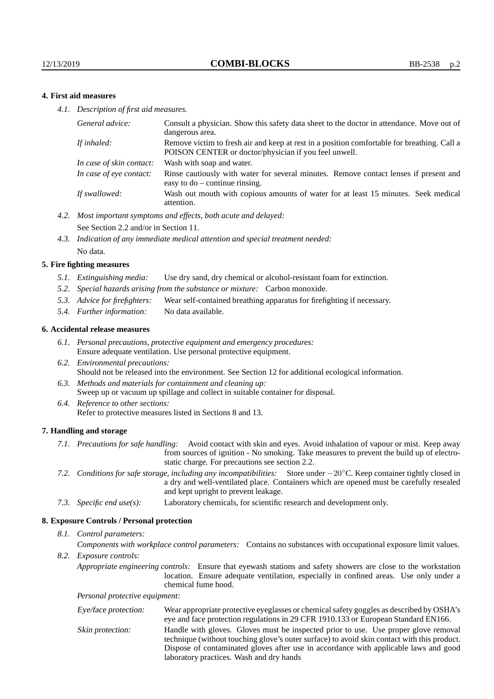## **4. First aid measures**

*4.1. Description of first aid measures.*

| Consult a physician. Show this safety data sheet to the doctor in attendance. Move out of<br>dangerous area.                                         |
|------------------------------------------------------------------------------------------------------------------------------------------------------|
| Remove victim to fresh air and keep at rest in a position comfortable for breathing. Call a<br>POISON CENTER or doctor/physician if you feel unwell. |
| Wash with soap and water.                                                                                                                            |
| Rinse cautiously with water for several minutes. Remove contact lenses if present and<br>easy to $do$ – continue rinsing.                            |
| Wash out mouth with copious amounts of water for at least 15 minutes. Seek medical<br>attention.                                                     |
|                                                                                                                                                      |

- *4.2. Most important symptoms and effects, both acute and delayed:* See Section 2.2 and/or in Section 11.
- *4.3. Indication of any immediate medical attention and special treatment needed:* No data.

#### **5. Fire fighting measures**

- *5.1. Extinguishing media:* Use dry sand, dry chemical or alcohol-resistant foam for extinction.
- *5.2. Special hazards arising from the substance or mixture:* Carbon monoxide.
- *5.3. Advice for firefighters:* Wear self-contained breathing apparatus for firefighting if necessary.
- *5.4. Further information:* No data available.

#### **6. Accidental release measures**

- *6.1. Personal precautions, protective equipment and emergency procedures:* Ensure adequate ventilation. Use personal protective equipment.
- *6.2. Environmental precautions:* Should not be released into the environment. See Section 12 for additional ecological information.
- *6.3. Methods and materials for containment and cleaning up:* Sweep up or vacuum up spillage and collect in suitable container for disposal.
- *6.4. Reference to other sections:* Refer to protective measures listed in Sections 8 and 13.

#### **7. Handling and storage**

- *7.1. Precautions for safe handling:* Avoid contact with skin and eyes. Avoid inhalation of vapour or mist. Keep away from sources of ignition - No smoking. Take measures to prevent the build up of electrostatic charge. For precautions see section 2.2.
- *7.2. Conditions for safe storage, including any incompatibilities:* Store under −20◦C. Keep container tightly closed in a dry and well-ventilated place. Containers which are opened must be carefully resealed and kept upright to prevent leakage.
- *7.3. Specific end use(s):* Laboratory chemicals, for scientific research and development only.

#### **8. Exposure Controls / Personal protection**

*8.1. Control parameters:*

*Components with workplace control parameters:* Contains no substances with occupational exposure limit values.

*8.2. Exposure controls:*

*Appropriate engineering controls:* Ensure that eyewash stations and safety showers are close to the workstation location. Ensure adequate ventilation, especially in confined areas. Use only under a chemical fume hood.

*Personal protective equipment:*

| Eye/face protection: | Wear appropriate protective eyeglasses or chemical safety goggles as described by OSHA's<br>eye and face protection regulations in 29 CFR 1910.133 or European Standard EN166.                                                                                                                                         |
|----------------------|------------------------------------------------------------------------------------------------------------------------------------------------------------------------------------------------------------------------------------------------------------------------------------------------------------------------|
| Skin protection:     | Handle with gloves. Gloves must be inspected prior to use. Use proper glove removal<br>technique (without touching glove's outer surface) to avoid skin contact with this product.<br>Dispose of contaminated gloves after use in accordance with applicable laws and good<br>laboratory practices. Wash and dry hands |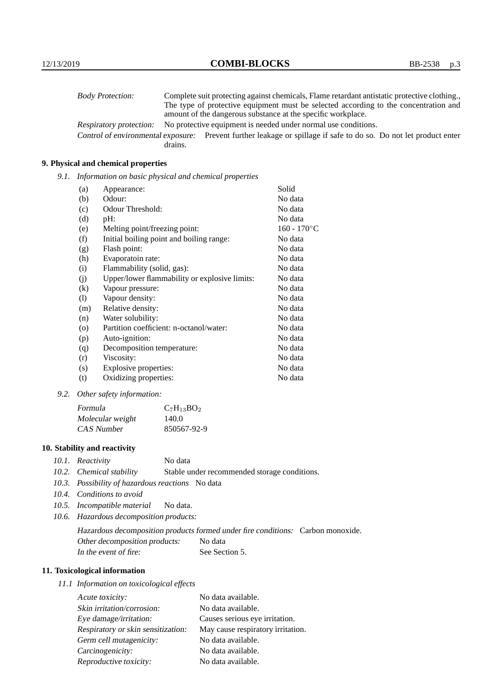| <b>Body Protection:</b> |         | Complete suit protecting against chemicals, Flame retardant antistatic protective clothing.                       |
|-------------------------|---------|-------------------------------------------------------------------------------------------------------------------|
|                         |         | The type of protective equipment must be selected according to the concentration and                              |
|                         |         | amount of the dangerous substance at the specific workplace.                                                      |
| Respiratory protection: |         | No protective equipment is needed under normal use conditions.                                                    |
|                         |         | Control of environmental exposure: Prevent further leakage or spillage if safe to do so. Do not let product enter |
|                         | drains. |                                                                                                                   |

## **9. Physical and chemical properties**

*9.1. Information on basic physical and chemical properties*

| (a)               | Appearance:                                   | Solid          |
|-------------------|-----------------------------------------------|----------------|
| (b)               | Odour:                                        | No data        |
| (c)               | Odour Threshold:                              | No data        |
| (d)               | $pH$ :                                        | No data        |
| (e)               | Melting point/freezing point:                 | $160 - 170$ °C |
| (f)               | Initial boiling point and boiling range:      | No data        |
| (g)               | Flash point:                                  | No data        |
| (h)               | Evaporatoin rate:                             | No data        |
| (i)               | Flammability (solid, gas):                    | No data        |
| (j)               | Upper/lower flammability or explosive limits: | No data        |
| $\left( k\right)$ | Vapour pressure:                              | No data        |
| (1)               | Vapour density:                               | No data        |
| (m)               | Relative density:                             | No data        |
| (n)               | Water solubility:                             | No data        |
| $\circ$           | Partition coefficient: n-octanol/water:       | No data        |
| (p)               | Auto-ignition:                                | No data        |
| (q)               | Decomposition temperature:                    | No data        |
| (r)               | Viscosity:                                    | No data        |
| (s)               | Explosive properties:                         | No data        |
| (t)               | Oxidizing properties:                         | No data        |

*9.2. Other safety information:*

| Formula          | $C_7H_{13}BO_2$ |
|------------------|-----------------|
| Molecular weight | 140.0           |
| CAS Number       | 850567-92-9     |

## **10. Stability and reactivity**

- *10.1. Reactivity* No data
- *10.2. Chemical stability* Stable under recommended storage conditions.
- *10.3. Possibility of hazardous reactions* No data
- *10.4. Conditions to avoid*
- *10.5. Incompatible material* No data.
- *10.6. Hazardous decomposition products:*

Hazardous decomposition products formed under fire conditions: Carbon monoxide. Other decomposition products: No data In the event of fire: See Section 5.

## **11. Toxicological information**

*11.1 Information on toxicological effects*

| Acute toxicity:                    | No data available.                |
|------------------------------------|-----------------------------------|
| Skin irritation/corrosion:         | No data available.                |
| Eye damage/irritation:             | Causes serious eye irritation.    |
| Respiratory or skin sensitization: | May cause respiratory irritation. |
| Germ cell mutagenicity:            | No data available.                |
| Carcinogenicity:                   | No data available.                |
| Reproductive toxicity:             | No data available.                |